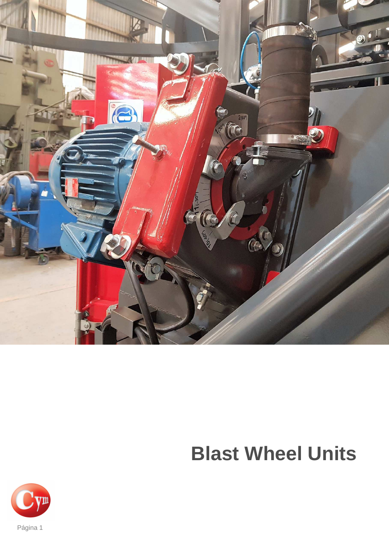

# **Blast Wheel Units**

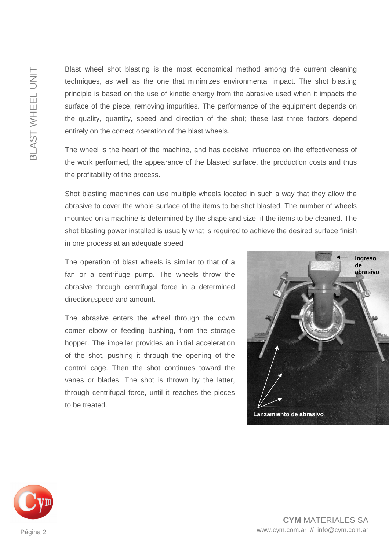Blast wheel shot blasting is the most economical method among the current cleaning techniques, as well as the one that minimizes environmental impact. The shot blasting principle is based on the use of kinetic energy from the abrasive used when it impacts the surface of the piece, removing impurities. The performance of the equipment depends on the quality, quantity, speed and direction of the shot; these last three factors depend entirely on the correct operation of the blast wheels.

The wheel is the heart of the machine, and has decisive influence on the effectiveness of the work performed, the appearance of the blasted surface, the production costs and thus the profitability of the process.

Shot blasting machines can use multiple wheels located in such a way that they allow the abrasive to cover the whole surface of the items to be shot blasted. The number of wheels mounted on a machine is determined by the shape and size if the items to be cleaned. The shot blasting power installed is usually what is required to achieve the desired surface finish in one process at an adequate speed

The operation of blast wheels is similar to that of a fan or a centrifuge pump. The wheels throw the abrasive through centrifugal force in a determined direction,speed and amount.

The abrasive enters the wheel through the down comer elbow or feeding bushing, from the storage hopper. The impeller provides an initial acceleration of the shot, pushing it through the opening of the control cage. Then the shot continues toward the vanes or blades. The shot is thrown by the latter, through centrifugal force, until it reaches the pieces to be treated.



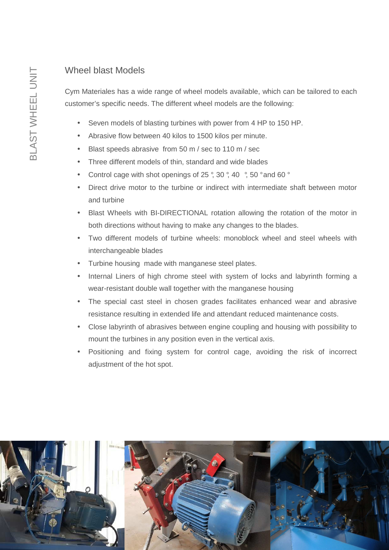### Wheel blast Models

Cym Materiales has a wide range of wheel models available, which can be tailored to each customer's specific needs. The different wheel models are the following:

- Seven models of blasting turbines with power from 4 HP to 150 HP.
- Abrasive flow between 40 kilos to 1500 kilos per minute.
- Blast speeds abrasive from 50 m / sec to 110 m / sec
- Three different models of thin, standard and wide blades
- Control cage with shot openings of 25 °, 30 °, 40 °, 50 ° and 60 °
- Direct drive motor to the turbine or indirect with intermediate shaft between motor and turbine
- Blast Wheels with BI-DIRECTIONAL rotation allowing the rotation of the motor in both directions without having to make any changes to the blades.
- Two different models of turbine wheels: monoblock wheel and steel wheels with interchangeable blades
- Turbine housing made with manganese steel plates.
- Internal Liners of high chrome steel with system of locks and labyrinth forming a wear-resistant double wall together with the manganese housing
- The special cast steel in chosen grades facilitates enhanced wear and abrasive resistance resulting in extended life and attendant reduced maintenance costs.
- Close labyrinth of abrasives between engine coupling and housing with possibility to mount the turbines in any position even in the vertical axis.
- Positioning and fixing system for control cage, avoiding the risk of incorrect adjustment of the hot spot.

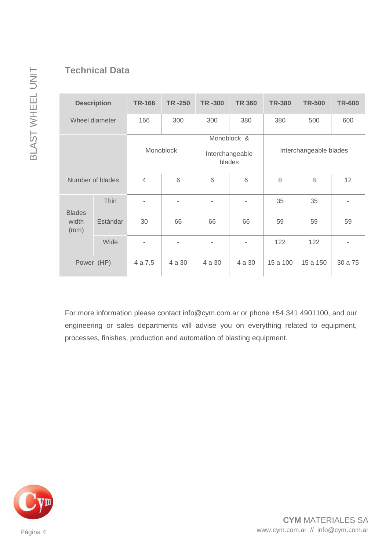| <b>Description</b>             |          | <b>TR-166</b>            | <b>TR-250</b>  | <b>TR-300</b>                            | <b>TR 360</b>  | <b>TR-380</b>          | <b>TR-500</b> | <b>TR-600</b>  |
|--------------------------------|----------|--------------------------|----------------|------------------------------------------|----------------|------------------------|---------------|----------------|
| Wheel diameter                 |          | 166                      | 300            | 300                                      | 380            | 380                    | 500           | 600            |
|                                |          | Monoblock                |                | Monoblock &<br>Interchangeable<br>blades |                | Interchangeable blades |               |                |
| Number of blades               |          | $\overline{4}$           | 6              | 6                                        | 6              | 8                      | 8             | 12             |
| <b>Blades</b><br>width<br>(mm) | Thin     |                          | $\overline{a}$ |                                          | $\blacksquare$ | 35                     | 35            |                |
|                                | Estándar | 30                       | 66             | 66                                       | 66             | 59                     | 59            | 59             |
|                                | Wide     | $\overline{\phantom{a}}$ | ٠              |                                          | $\blacksquare$ | 122                    | 122           | $\overline{a}$ |
| Power (HP)                     |          | 4 a 7,5                  | 4 a 30         | 4 a 30                                   | 4 a 30         | 15 a 100               | 15 a 150      | 30 a 75        |

For more information please contact info@cym.com.ar or phone +54 341 4901100, and our engineering or sales departments will advise you on everything related to equipment, processes, finishes, production and automation of blasting equipment.



Página 4